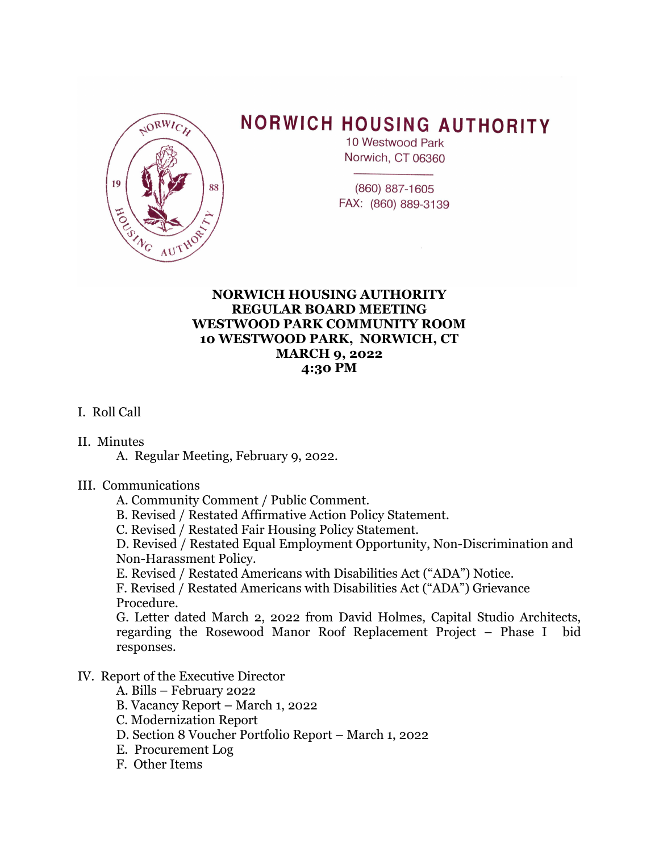

# **NORWICH HOUSING AUTHORITY**

10 Westwood Park Norwich, CT 06360

(860) 887-1605 FAX: (860) 889-3139

### **NORWICH HOUSING AUTHORITY REGULAR BOARD MEETING WESTWOOD PARK COMMUNITY ROOM 10 WESTWOOD PARK, NORWICH, CT MARCH 9, 2022 4:30 PM**

## I. Roll Call

#### II. Minutes

A. Regular Meeting, February 9, 2022.

#### III. Communications

- A. Community Comment / Public Comment.
- B. Revised / Restated Affirmative Action Policy Statement.
- C. Revised / Restated Fair Housing Policy Statement.

D. Revised / Restated Equal Employment Opportunity, Non-Discrimination and Non-Harassment Policy.

E. Revised / Restated Americans with Disabilities Act ("ADA") Notice.

 F. Revised / Restated Americans with Disabilities Act ("ADA") Grievance Procedure.

G. Letter dated March 2, 2022 from David Holmes, Capital Studio Architects, regarding the Rosewood Manor Roof Replacement Project – Phase I bid responses.

#### IV. Report of the Executive Director

- A. Bills February 2022
- B. Vacancy Report March 1, 2022
- C. Modernization Report
- D. Section 8 Voucher Portfolio Report March 1, 2022
- E. Procurement Log
- F. Other Items